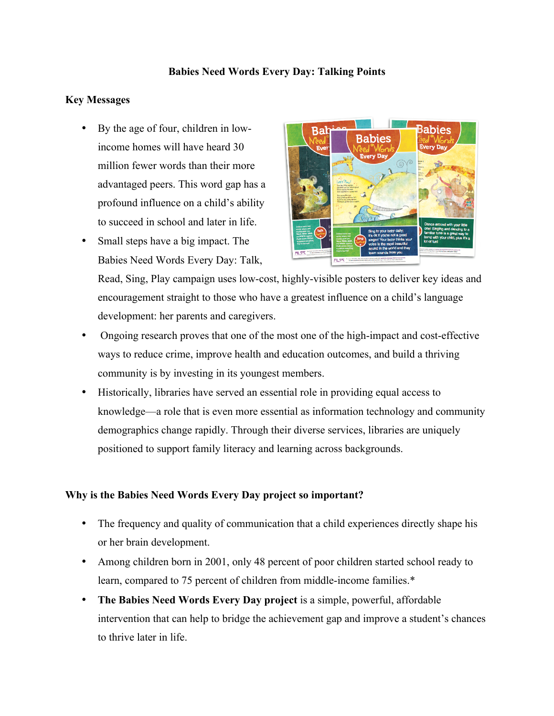### **Babies Need Words Every Day: Talking Points**

### **Key Messages**

- By the age of four, children in lowincome homes will have heard 30 million fewer words than their more advantaged peers. This word gap has a profound influence on a child's ability to succeed in school and later in life.
- Small steps have a big impact. The Babies Need Words Every Day: Talk,



Read, Sing, Play campaign uses low-cost, highly-visible posters to deliver key ideas and encouragement straight to those who have a greatest influence on a child's language development: her parents and caregivers.

- Ongoing research proves that one of the most one of the high-impact and cost-effective ways to reduce crime, improve health and education outcomes, and build a thriving community is by investing in its youngest members.
- Historically, libraries have served an essential role in providing equal access to knowledge—a role that is even more essential as information technology and community demographics change rapidly. Through their diverse services, libraries are uniquely positioned to support family literacy and learning across backgrounds.

# **Why is the Babies Need Words Every Day project so important?**

- The frequency and quality of communication that a child experiences directly shape his or her brain development.
- Among children born in 2001, only 48 percent of poor children started school ready to learn, compared to 75 percent of children from middle-income families.\*
- **The Babies Need Words Every Day project** is a simple, powerful, affordable intervention that can help to bridge the achievement gap and improve a student's chances to thrive later in life.